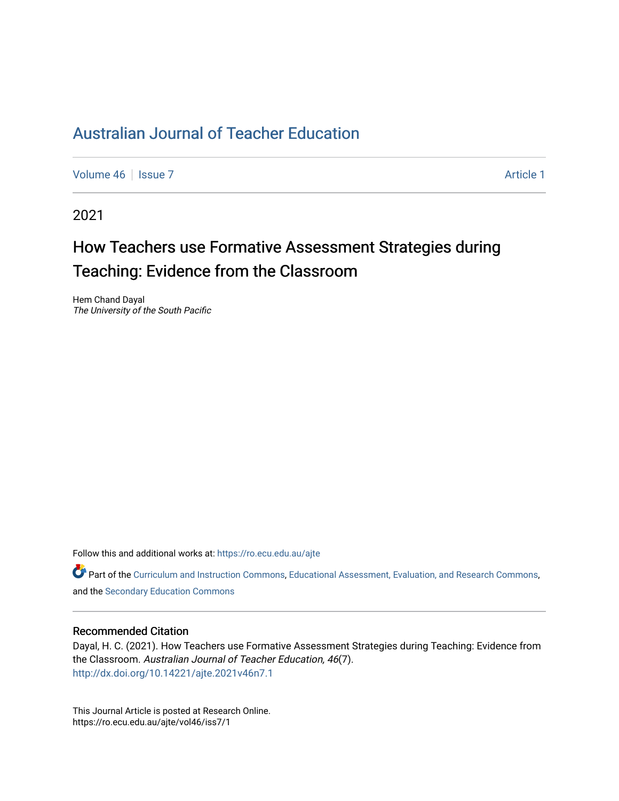[Volume 46](https://ro.ecu.edu.au/ajte/vol46) | [Issue 7](https://ro.ecu.edu.au/ajte/vol46/iss7) Article 1

2021

# How Teachers use Formative Assessment Strategies during Teaching: Evidence from the Classroom

Hem Chand Dayal The University of the South Pacific

Follow this and additional works at: [https://ro.ecu.edu.au/ajte](https://ro.ecu.edu.au/ajte?utm_source=ro.ecu.edu.au%2Fajte%2Fvol46%2Fiss7%2F1&utm_medium=PDF&utm_campaign=PDFCoverPages) 

Part of the [Curriculum and Instruction Commons,](http://network.bepress.com/hgg/discipline/786?utm_source=ro.ecu.edu.au%2Fajte%2Fvol46%2Fiss7%2F1&utm_medium=PDF&utm_campaign=PDFCoverPages) [Educational Assessment, Evaluation, and Research Commons](http://network.bepress.com/hgg/discipline/796?utm_source=ro.ecu.edu.au%2Fajte%2Fvol46%2Fiss7%2F1&utm_medium=PDF&utm_campaign=PDFCoverPages), and the [Secondary Education Commons](http://network.bepress.com/hgg/discipline/1382?utm_source=ro.ecu.edu.au%2Fajte%2Fvol46%2Fiss7%2F1&utm_medium=PDF&utm_campaign=PDFCoverPages)

## Recommended Citation

Dayal, H. C. (2021). How Teachers use Formative Assessment Strategies during Teaching: Evidence from the Classroom. Australian Journal of Teacher Education, 46(7). <http://dx.doi.org/10.14221/ajte.2021v46n7.1>

This Journal Article is posted at Research Online. https://ro.ecu.edu.au/ajte/vol46/iss7/1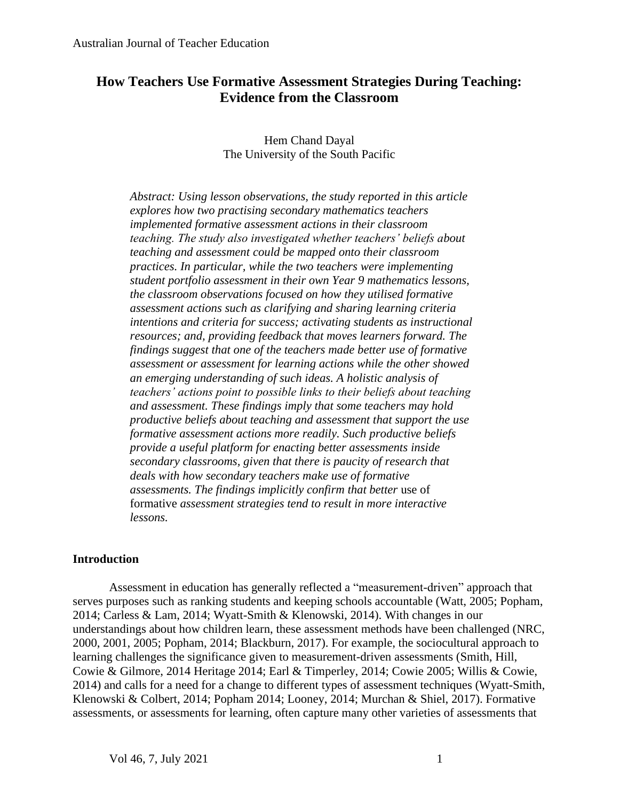## **How Teachers Use Formative Assessment Strategies During Teaching: Evidence from the Classroom**

## Hem Chand Dayal The University of the South Pacific

*Abstract: Using lesson observations, the study reported in this article explores how two practising secondary mathematics teachers implemented formative assessment actions in their classroom teaching. The study also investigated whether teachers' beliefs about teaching and assessment could be mapped onto their classroom practices. In particular, while the two teachers were implementing student portfolio assessment in their own Year 9 mathematics lessons, the classroom observations focused on how they utilised formative assessment actions such as clarifying and sharing learning criteria intentions and criteria for success; activating students as instructional resources; and, providing feedback that moves learners forward. The findings suggest that one of the teachers made better use of formative assessment or assessment for learning actions while the other showed an emerging understanding of such ideas. A holistic analysis of teachers' actions point to possible links to their beliefs about teaching and assessment. These findings imply that some teachers may hold productive beliefs about teaching and assessment that support the use formative assessment actions more readily. Such productive beliefs provide a useful platform for enacting better assessments inside secondary classrooms, given that there is paucity of research that deals with how secondary teachers make use of formative assessments. The findings implicitly confirm that better* use of formative *assessment strategies tend to result in more interactive lessons.*

## **Introduction**

Assessment in education has generally reflected a "measurement-driven" approach that serves purposes such as ranking students and keeping schools accountable (Watt, 2005; Popham, 2014; Carless & Lam, 2014; Wyatt-Smith & Klenowski, 2014). With changes in our understandings about how children learn, these assessment methods have been challenged (NRC, 2000, 2001, 2005; Popham, 2014; Blackburn, 2017). For example, the sociocultural approach to learning challenges the significance given to measurement-driven assessments (Smith, Hill, Cowie & Gilmore, 2014 Heritage 2014; Earl & Timperley, 2014; Cowie 2005; Willis & Cowie, 2014) and calls for a need for a change to different types of assessment techniques (Wyatt-Smith, Klenowski & Colbert, 2014; Popham 2014; Looney, 2014; Murchan & Shiel, 2017). Formative assessments, or assessments for learning, often capture many other varieties of assessments that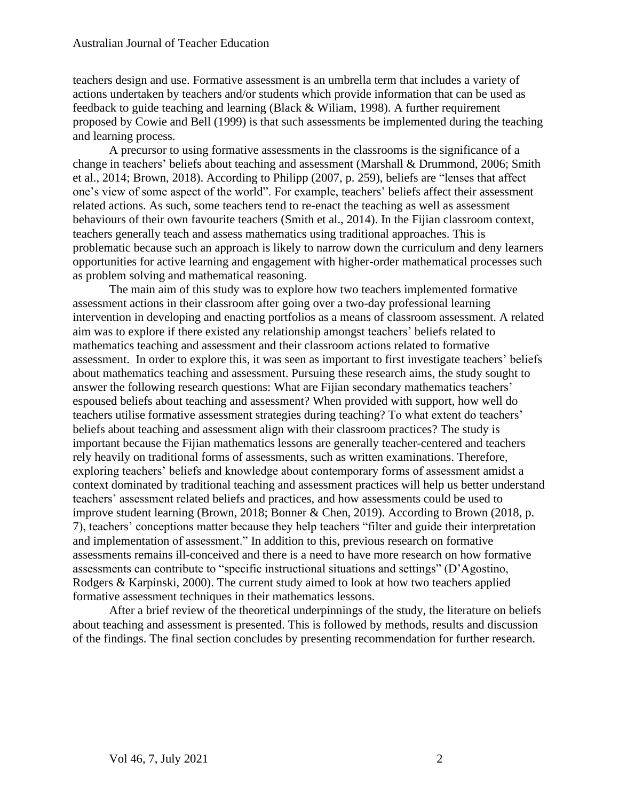teachers design and use. Formative assessment is an umbrella term that includes a variety of actions undertaken by teachers and/or students which provide information that can be used as feedback to guide teaching and learning (Black & Wiliam, 1998). A further requirement proposed by Cowie and Bell (1999) is that such assessments be implemented during the teaching and learning process.

A precursor to using formative assessments in the classrooms is the significance of a change in teachers' beliefs about teaching and assessment (Marshall & Drummond, 2006; Smith et al., 2014; Brown, 2018). According to Philipp (2007, p. 259), beliefs are "lenses that affect one's view of some aspect of the world". For example, teachers' beliefs affect their assessment related actions. As such, some teachers tend to re-enact the teaching as well as assessment behaviours of their own favourite teachers (Smith et al., 2014). In the Fijian classroom context, teachers generally teach and assess mathematics using traditional approaches. This is problematic because such an approach is likely to narrow down the curriculum and deny learners opportunities for active learning and engagement with higher-order mathematical processes such as problem solving and mathematical reasoning.

The main aim of this study was to explore how two teachers implemented formative assessment actions in their classroom after going over a two-day professional learning intervention in developing and enacting portfolios as a means of classroom assessment. A related aim was to explore if there existed any relationship amongst teachers' beliefs related to mathematics teaching and assessment and their classroom actions related to formative assessment. In order to explore this, it was seen as important to first investigate teachers' beliefs about mathematics teaching and assessment. Pursuing these research aims, the study sought to answer the following research questions: What are Fijian secondary mathematics teachers' espoused beliefs about teaching and assessment? When provided with support, how well do teachers utilise formative assessment strategies during teaching? To what extent do teachers' beliefs about teaching and assessment align with their classroom practices? The study is important because the Fijian mathematics lessons are generally teacher-centered and teachers rely heavily on traditional forms of assessments, such as written examinations. Therefore, exploring teachers' beliefs and knowledge about contemporary forms of assessment amidst a context dominated by traditional teaching and assessment practices will help us better understand teachers' assessment related beliefs and practices, and how assessments could be used to improve student learning (Brown, 2018; Bonner & Chen, 2019). According to Brown (2018, p. 7), teachers' conceptions matter because they help teachers "filter and guide their interpretation and implementation of assessment." In addition to this, previous research on formative assessments remains ill-conceived and there is a need to have more research on how formative assessments can contribute to "specific instructional situations and settings" (D'Agostino, Rodgers & Karpinski, 2000). The current study aimed to look at how two teachers applied formative assessment techniques in their mathematics lessons.

After a brief review of the theoretical underpinnings of the study, the literature on beliefs about teaching and assessment is presented. This is followed by methods, results and discussion of the findings. The final section concludes by presenting recommendation for further research.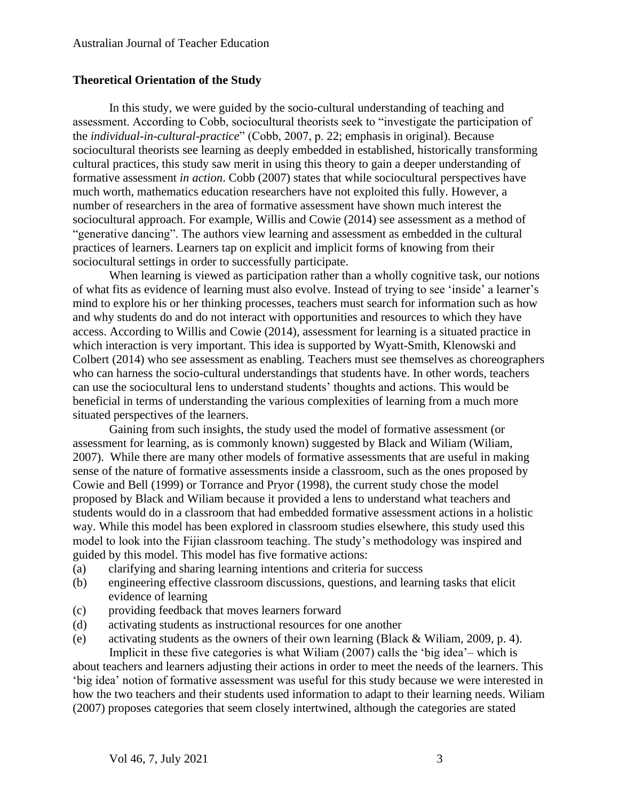## **Theoretical Orientation of the Study**

In this study, we were guided by the socio-cultural understanding of teaching and assessment. According to Cobb, sociocultural theorists seek to "investigate the participation of the *individual-in-cultural-practice*" (Cobb, 2007, p. 22; emphasis in original). Because sociocultural theorists see learning as deeply embedded in established, historically transforming cultural practices, this study saw merit in using this theory to gain a deeper understanding of formative assessment *in action*. Cobb (2007) states that while sociocultural perspectives have much worth, mathematics education researchers have not exploited this fully. However, a number of researchers in the area of formative assessment have shown much interest the sociocultural approach. For example, Willis and Cowie (2014) see assessment as a method of "generative dancing". The authors view learning and assessment as embedded in the cultural practices of learners. Learners tap on explicit and implicit forms of knowing from their sociocultural settings in order to successfully participate.

When learning is viewed as participation rather than a wholly cognitive task, our notions of what fits as evidence of learning must also evolve. Instead of trying to see 'inside' a learner's mind to explore his or her thinking processes, teachers must search for information such as how and why students do and do not interact with opportunities and resources to which they have access. According to Willis and Cowie (2014), assessment for learning is a situated practice in which interaction is very important. This idea is supported by Wyatt-Smith, Klenowski and Colbert (2014) who see assessment as enabling. Teachers must see themselves as choreographers who can harness the socio-cultural understandings that students have. In other words, teachers can use the sociocultural lens to understand students' thoughts and actions. This would be beneficial in terms of understanding the various complexities of learning from a much more situated perspectives of the learners.

Gaining from such insights, the study used the model of formative assessment (or assessment for learning, as is commonly known) suggested by Black and Wiliam (Wiliam, 2007). While there are many other models of formative assessments that are useful in making sense of the nature of formative assessments inside a classroom, such as the ones proposed by Cowie and Bell (1999) or Torrance and Pryor (1998), the current study chose the model proposed by Black and Wiliam because it provided a lens to understand what teachers and students would do in a classroom that had embedded formative assessment actions in a holistic way. While this model has been explored in classroom studies elsewhere, this study used this model to look into the Fijian classroom teaching. The study's methodology was inspired and guided by this model. This model has five formative actions:

- (a) clarifying and sharing learning intentions and criteria for success
- (b) engineering effective classroom discussions, questions, and learning tasks that elicit evidence of learning
- (c) providing feedback that moves learners forward
- (d) activating students as instructional resources for one another
- (e) activating students as the owners of their own learning (Black & Wiliam, 2009, p. 4). Implicit in these five categories is what Wiliam (2007) calls the 'big idea'– which is

about teachers and learners adjusting their actions in order to meet the needs of the learners. This 'big idea' notion of formative assessment was useful for this study because we were interested in how the two teachers and their students used information to adapt to their learning needs. Wiliam (2007) proposes categories that seem closely intertwined, although the categories are stated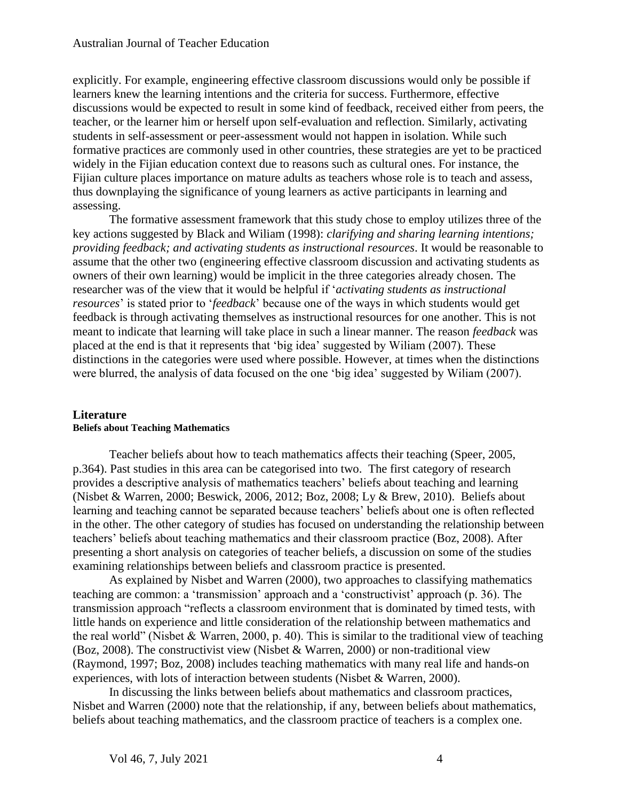explicitly. For example, engineering effective classroom discussions would only be possible if learners knew the learning intentions and the criteria for success. Furthermore, effective discussions would be expected to result in some kind of feedback, received either from peers, the teacher, or the learner him or herself upon self-evaluation and reflection. Similarly, activating students in self-assessment or peer-assessment would not happen in isolation. While such formative practices are commonly used in other countries, these strategies are yet to be practiced widely in the Fijian education context due to reasons such as cultural ones. For instance, the Fijian culture places importance on mature adults as teachers whose role is to teach and assess, thus downplaying the significance of young learners as active participants in learning and assessing.

The formative assessment framework that this study chose to employ utilizes three of the key actions suggested by Black and Wiliam (1998): *clarifying and sharing learning intentions; providing feedback; and activating students as instructional resources*. It would be reasonable to assume that the other two (engineering effective classroom discussion and activating students as owners of their own learning) would be implicit in the three categories already chosen. The researcher was of the view that it would be helpful if '*activating students as instructional resources*' is stated prior to '*feedback*' because one of the ways in which students would get feedback is through activating themselves as instructional resources for one another. This is not meant to indicate that learning will take place in such a linear manner. The reason *feedback* was placed at the end is that it represents that 'big idea' suggested by Wiliam (2007). These distinctions in the categories were used where possible. However, at times when the distinctions were blurred, the analysis of data focused on the one 'big idea' suggested by Wiliam (2007).

## **Literature Beliefs about Teaching Mathematics**

Teacher beliefs about how to teach mathematics affects their teaching (Speer, 2005, p.364). Past studies in this area can be categorised into two. The first category of research provides a descriptive analysis of mathematics teachers' beliefs about teaching and learning (Nisbet & Warren, 2000; Beswick, 2006, 2012; Boz, 2008; Ly & Brew, 2010). Beliefs about learning and teaching cannot be separated because teachers' beliefs about one is often reflected in the other. The other category of studies has focused on understanding the relationship between teachers' beliefs about teaching mathematics and their classroom practice (Boz, 2008). After presenting a short analysis on categories of teacher beliefs, a discussion on some of the studies examining relationships between beliefs and classroom practice is presented.

As explained by Nisbet and Warren (2000), two approaches to classifying mathematics teaching are common: a 'transmission' approach and a 'constructivist' approach (p. 36). The transmission approach "reflects a classroom environment that is dominated by timed tests, with little hands on experience and little consideration of the relationship between mathematics and the real world" (Nisbet & Warren, 2000, p. 40). This is similar to the traditional view of teaching (Boz, 2008). The constructivist view (Nisbet & Warren, 2000) or non-traditional view (Raymond, 1997; Boz, 2008) includes teaching mathematics with many real life and hands-on experiences, with lots of interaction between students (Nisbet & Warren, 2000).

In discussing the links between beliefs about mathematics and classroom practices, Nisbet and Warren (2000) note that the relationship, if any, between beliefs about mathematics, beliefs about teaching mathematics, and the classroom practice of teachers is a complex one.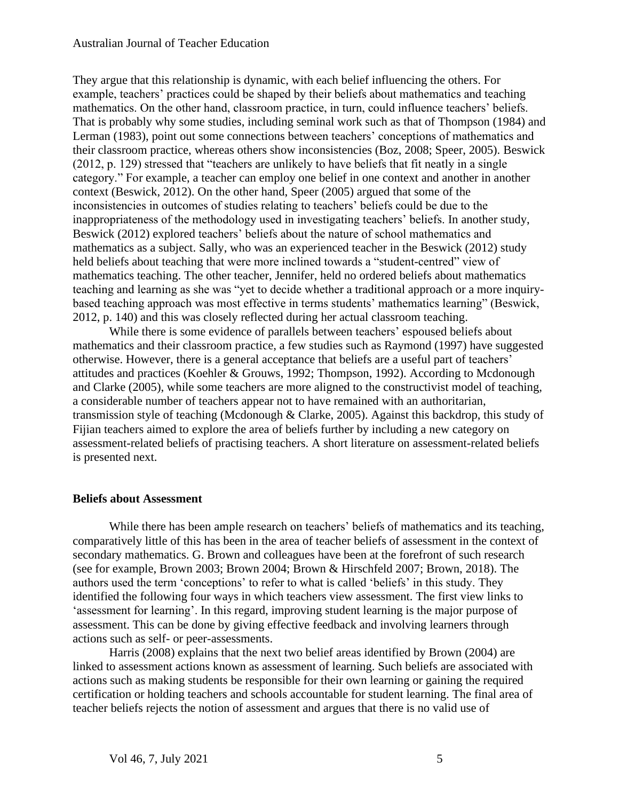They argue that this relationship is dynamic, with each belief influencing the others. For example, teachers' practices could be shaped by their beliefs about mathematics and teaching mathematics. On the other hand, classroom practice, in turn, could influence teachers' beliefs. That is probably why some studies, including seminal work such as that of Thompson (1984) and Lerman (1983), point out some connections between teachers' conceptions of mathematics and their classroom practice, whereas others show inconsistencies (Boz, 2008; Speer, 2005). Beswick (2012, p. 129) stressed that "teachers are unlikely to have beliefs that fit neatly in a single category." For example, a teacher can employ one belief in one context and another in another context (Beswick, 2012). On the other hand, Speer (2005) argued that some of the inconsistencies in outcomes of studies relating to teachers' beliefs could be due to the inappropriateness of the methodology used in investigating teachers' beliefs. In another study, Beswick (2012) explored teachers' beliefs about the nature of school mathematics and mathematics as a subject. Sally, who was an experienced teacher in the Beswick (2012) study held beliefs about teaching that were more inclined towards a "student-centred" view of mathematics teaching. The other teacher, Jennifer, held no ordered beliefs about mathematics teaching and learning as she was "yet to decide whether a traditional approach or a more inquirybased teaching approach was most effective in terms students' mathematics learning" (Beswick, 2012, p. 140) and this was closely reflected during her actual classroom teaching.

While there is some evidence of parallels between teachers' espoused beliefs about mathematics and their classroom practice, a few studies such as Raymond (1997) have suggested otherwise. However, there is a general acceptance that beliefs are a useful part of teachers' attitudes and practices (Koehler & Grouws, 1992; Thompson, 1992). According to Mcdonough and Clarke (2005), while some teachers are more aligned to the constructivist model of teaching, a considerable number of teachers appear not to have remained with an authoritarian, transmission style of teaching (Mcdonough & Clarke, 2005). Against this backdrop, this study of Fijian teachers aimed to explore the area of beliefs further by including a new category on assessment-related beliefs of practising teachers. A short literature on assessment-related beliefs is presented next.

#### **Beliefs about Assessment**

While there has been ample research on teachers' beliefs of mathematics and its teaching, comparatively little of this has been in the area of teacher beliefs of assessment in the context of secondary mathematics. G. Brown and colleagues have been at the forefront of such research (see for example, Brown 2003; Brown 2004; Brown & Hirschfeld 2007; Brown, 2018). The authors used the term 'conceptions' to refer to what is called 'beliefs' in this study. They identified the following four ways in which teachers view assessment. The first view links to 'assessment for learning'. In this regard, improving student learning is the major purpose of assessment. This can be done by giving effective feedback and involving learners through actions such as self- or peer-assessments.

Harris (2008) explains that the next two belief areas identified by Brown (2004) are linked to assessment actions known as assessment of learning. Such beliefs are associated with actions such as making students be responsible for their own learning or gaining the required certification or holding teachers and schools accountable for student learning. The final area of teacher beliefs rejects the notion of assessment and argues that there is no valid use of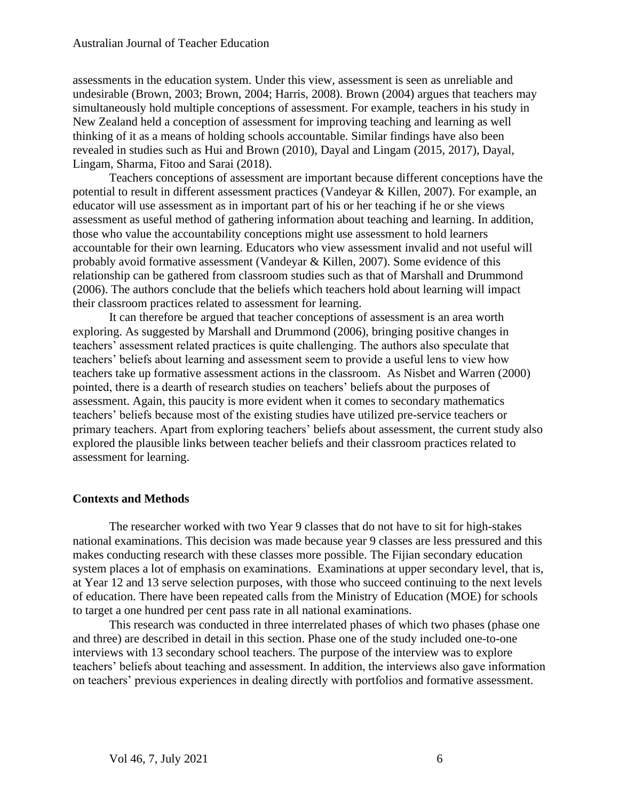assessments in the education system. Under this view, assessment is seen as unreliable and undesirable (Brown, 2003; Brown, 2004; Harris, 2008). Brown (2004) argues that teachers may simultaneously hold multiple conceptions of assessment. For example, teachers in his study in New Zealand held a conception of assessment for improving teaching and learning as well thinking of it as a means of holding schools accountable. Similar findings have also been revealed in studies such as Hui and Brown (2010), Dayal and Lingam (2015, 2017), Dayal, Lingam, Sharma, Fitoo and Sarai (2018).

Teachers conceptions of assessment are important because different conceptions have the potential to result in different assessment practices (Vandeyar & Killen, 2007). For example, an educator will use assessment as in important part of his or her teaching if he or she views assessment as useful method of gathering information about teaching and learning. In addition, those who value the accountability conceptions might use assessment to hold learners accountable for their own learning. Educators who view assessment invalid and not useful will probably avoid formative assessment (Vandeyar & Killen, 2007). Some evidence of this relationship can be gathered from classroom studies such as that of Marshall and Drummond (2006). The authors conclude that the beliefs which teachers hold about learning will impact their classroom practices related to assessment for learning.

It can therefore be argued that teacher conceptions of assessment is an area worth exploring. As suggested by Marshall and Drummond (2006), bringing positive changes in teachers' assessment related practices is quite challenging. The authors also speculate that teachers' beliefs about learning and assessment seem to provide a useful lens to view how teachers take up formative assessment actions in the classroom. As Nisbet and Warren (2000) pointed, there is a dearth of research studies on teachers' beliefs about the purposes of assessment. Again, this paucity is more evident when it comes to secondary mathematics teachers' beliefs because most of the existing studies have utilized pre-service teachers or primary teachers. Apart from exploring teachers' beliefs about assessment, the current study also explored the plausible links between teacher beliefs and their classroom practices related to assessment for learning.

#### **Contexts and Methods**

The researcher worked with two Year 9 classes that do not have to sit for high-stakes national examinations. This decision was made because year 9 classes are less pressured and this makes conducting research with these classes more possible. The Fijian secondary education system places a lot of emphasis on examinations. Examinations at upper secondary level, that is, at Year 12 and 13 serve selection purposes, with those who succeed continuing to the next levels of education. There have been repeated calls from the Ministry of Education (MOE) for schools to target a one hundred per cent pass rate in all national examinations.

This research was conducted in three interrelated phases of which two phases (phase one and three) are described in detail in this section. Phase one of the study included one-to-one interviews with 13 secondary school teachers. The purpose of the interview was to explore teachers' beliefs about teaching and assessment. In addition, the interviews also gave information on teachers' previous experiences in dealing directly with portfolios and formative assessment.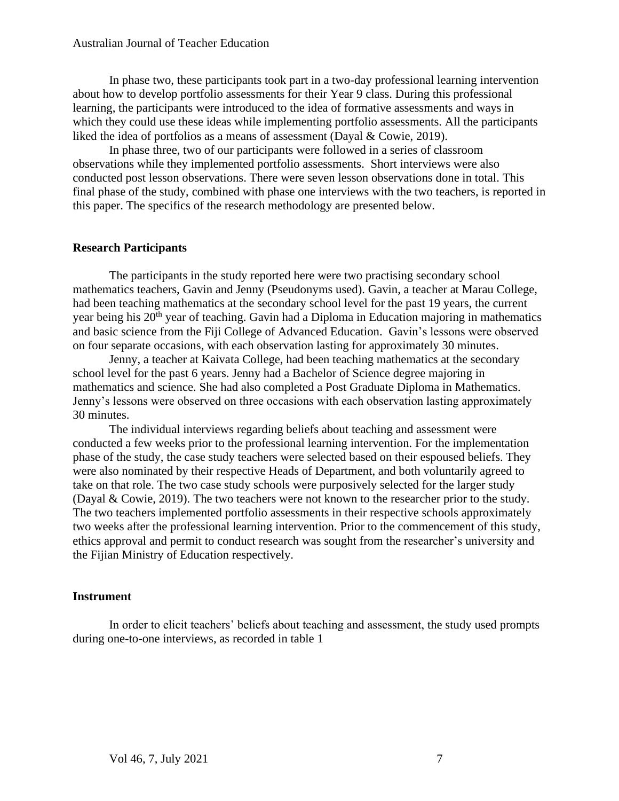In phase two, these participants took part in a two-day professional learning intervention about how to develop portfolio assessments for their Year 9 class. During this professional learning, the participants were introduced to the idea of formative assessments and ways in which they could use these ideas while implementing portfolio assessments. All the participants liked the idea of portfolios as a means of assessment (Dayal & Cowie, 2019).

In phase three, two of our participants were followed in a series of classroom observations while they implemented portfolio assessments. Short interviews were also conducted post lesson observations. There were seven lesson observations done in total. This final phase of the study, combined with phase one interviews with the two teachers, is reported in this paper. The specifics of the research methodology are presented below.

## **Research Participants**

The participants in the study reported here were two practising secondary school mathematics teachers, Gavin and Jenny (Pseudonyms used). Gavin, a teacher at Marau College, had been teaching mathematics at the secondary school level for the past 19 years, the current year being his 20<sup>th</sup> year of teaching. Gavin had a Diploma in Education majoring in mathematics and basic science from the Fiji College of Advanced Education. Gavin's lessons were observed on four separate occasions, with each observation lasting for approximately 30 minutes.

Jenny, a teacher at Kaivata College, had been teaching mathematics at the secondary school level for the past 6 years. Jenny had a Bachelor of Science degree majoring in mathematics and science. She had also completed a Post Graduate Diploma in Mathematics. Jenny's lessons were observed on three occasions with each observation lasting approximately 30 minutes.

The individual interviews regarding beliefs about teaching and assessment were conducted a few weeks prior to the professional learning intervention. For the implementation phase of the study, the case study teachers were selected based on their espoused beliefs. They were also nominated by their respective Heads of Department, and both voluntarily agreed to take on that role. The two case study schools were purposively selected for the larger study (Dayal & Cowie, 2019). The two teachers were not known to the researcher prior to the study. The two teachers implemented portfolio assessments in their respective schools approximately two weeks after the professional learning intervention. Prior to the commencement of this study, ethics approval and permit to conduct research was sought from the researcher's university and the Fijian Ministry of Education respectively.

## **Instrument**

In order to elicit teachers' beliefs about teaching and assessment, the study used prompts during one-to-one interviews, as recorded in table 1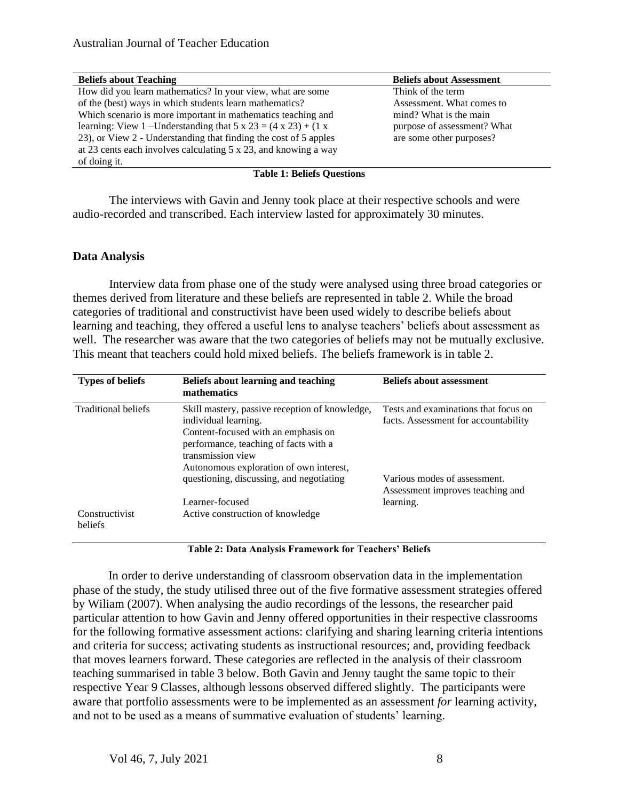| <b>Beliefs about Teaching</b>                                                       | <b>Beliefs about Assessment</b> |
|-------------------------------------------------------------------------------------|---------------------------------|
| How did you learn mathematics? In your view, what are some                          | Think of the term               |
| of the (best) ways in which students learn mathematics?                             | Assessment. What comes to       |
| Which scenario is more important in mathematics teaching and                        | mind? What is the main          |
| learning: View 1 – Understanding that $5 \times 23 = (4 \times 23) + (1 \times 23)$ | purpose of assessment? What     |
| 23), or View 2 - Understanding that finding the cost of 5 apples                    | are some other purposes?        |
| at 23 cents each involves calculating $5 \times 23$ , and knowing a way             |                                 |
| of doing it.                                                                        |                                 |

#### **Table 1: Beliefs Questions**

The interviews with Gavin and Jenny took place at their respective schools and were audio-recorded and transcribed. Each interview lasted for approximately 30 minutes.

## **Data Analysis**

Interview data from phase one of the study were analysed using three broad categories or themes derived from literature and these beliefs are represented in table 2. While the broad categories of traditional and constructivist have been used widely to describe beliefs about learning and teaching, they offered a useful lens to analyse teachers' beliefs about assessment as well. The researcher was aware that the two categories of beliefs may not be mutually exclusive. This meant that teachers could hold mixed beliefs. The beliefs framework is in table 2.

| <b>Types of beliefs</b>          | Beliefs about learning and teaching<br>mathematics                                                                                                                                                                     | <b>Beliefs about assessment</b>                                               |
|----------------------------------|------------------------------------------------------------------------------------------------------------------------------------------------------------------------------------------------------------------------|-------------------------------------------------------------------------------|
| Traditional beliefs              | Skill mastery, passive reception of knowledge,<br>individual learning.<br>Content-focused with an emphasis on<br>performance, teaching of facts with a<br>transmission view<br>Autonomous exploration of own interest, | Tests and examinations that focus on<br>facts. Assessment for accountability  |
|                                  | questioning, discussing, and negotiating<br>Learner-focused                                                                                                                                                            | Various modes of assessment.<br>Assessment improves teaching and<br>learning. |
| Constructivist<br><b>beliefs</b> | Active construction of knowledge                                                                                                                                                                                       |                                                                               |

**Table 2: Data Analysis Framework for Teachers' Beliefs**

In order to derive understanding of classroom observation data in the implementation phase of the study, the study utilised three out of the five formative assessment strategies offered by Wiliam (2007). When analysing the audio recordings of the lessons, the researcher paid particular attention to how Gavin and Jenny offered opportunities in their respective classrooms for the following formative assessment actions: clarifying and sharing learning criteria intentions and criteria for success; activating students as instructional resources; and, providing feedback that moves learners forward. These categories are reflected in the analysis of their classroom teaching summarised in table 3 below. Both Gavin and Jenny taught the same topic to their respective Year 9 Classes, although lessons observed differed slightly. The participants were aware that portfolio assessments were to be implemented as an assessment *for* learning activity, and not to be used as a means of summative evaluation of students' learning.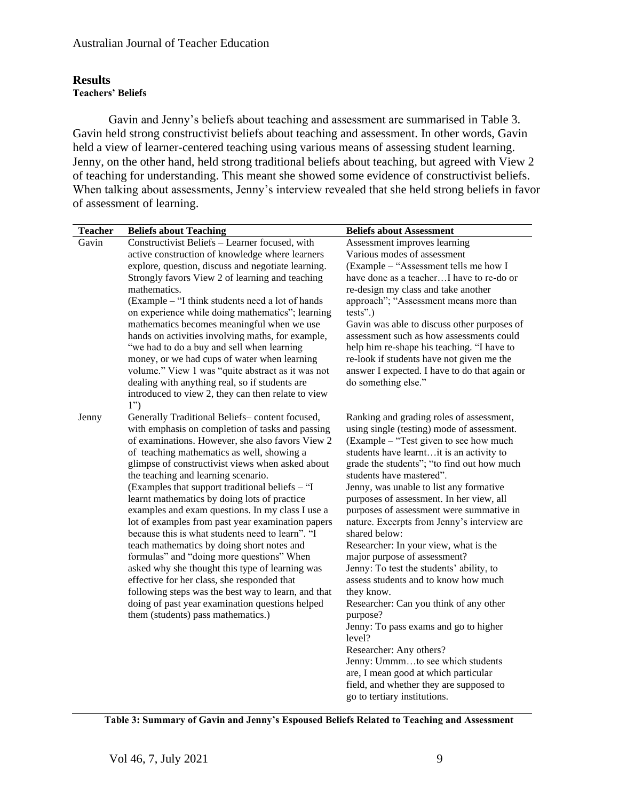## **Results Teachers' Beliefs**

Gavin and Jenny's beliefs about teaching and assessment are summarised in Table 3. Gavin held strong constructivist beliefs about teaching and assessment. In other words, Gavin held a view of learner-centered teaching using various means of assessing student learning. Jenny, on the other hand, held strong traditional beliefs about teaching, but agreed with View 2 of teaching for understanding. This meant she showed some evidence of constructivist beliefs. When talking about assessments, Jenny's interview revealed that she held strong beliefs in favor of assessment of learning.

| <b>Teacher</b> | <b>Beliefs about Teaching</b>                                                                   | <b>Beliefs about Assessment</b>                                                         |
|----------------|-------------------------------------------------------------------------------------------------|-----------------------------------------------------------------------------------------|
| Gavin          | Constructivist Beliefs - Learner focused, with                                                  | Assessment improves learning                                                            |
|                | active construction of knowledge where learners                                                 | Various modes of assessment                                                             |
|                | explore, question, discuss and negotiate learning.                                              | (Example – "Assessment tells me how I                                                   |
|                | Strongly favors View 2 of learning and teaching                                                 | have done as a teacherI have to re-do or                                                |
|                | mathematics.                                                                                    | re-design my class and take another                                                     |
|                | (Example – "I think students need a lot of hands                                                | approach"; "Assessment means more than                                                  |
|                | on experience while doing mathematics"; learning                                                | $tests$ ".)                                                                             |
|                | mathematics becomes meaningful when we use                                                      | Gavin was able to discuss other purposes of                                             |
|                | hands on activities involving maths, for example,                                               | assessment such as how assessments could                                                |
|                | "we had to do a buy and sell when learning<br>money, or we had cups of water when learning      | help him re-shape his teaching. "I have to<br>re-look if students have not given me the |
|                | volume." View 1 was "quite abstract as it was not                                               | answer I expected. I have to do that again or                                           |
|                | dealing with anything real, so if students are                                                  | do something else."                                                                     |
|                | introduced to view 2, they can then relate to view                                              |                                                                                         |
|                | 1")                                                                                             |                                                                                         |
| Jenny          | Generally Traditional Beliefs-content focused,                                                  | Ranking and grading roles of assessment,                                                |
|                | with emphasis on completion of tasks and passing                                                | using single (testing) mode of assessment.                                              |
|                | of examinations. However, she also favors View 2                                                | (Example – "Test given to see how much                                                  |
|                | of teaching mathematics as well, showing a                                                      | students have learntit is an activity to                                                |
|                | glimpse of constructivist views when asked about                                                | grade the students"; "to find out how much                                              |
|                | the teaching and learning scenario.                                                             | students have mastered".                                                                |
|                | (Examples that support traditional beliefs – "I<br>learnt mathematics by doing lots of practice | Jenny, was unable to list any formative<br>purposes of assessment. In her view, all     |
|                | examples and exam questions. In my class I use a                                                | purposes of assessment were summative in                                                |
|                | lot of examples from past year examination papers                                               | nature. Excerpts from Jenny's interview are                                             |
|                | because this is what students need to learn". "I                                                | shared below:                                                                           |
|                | teach mathematics by doing short notes and                                                      | Researcher: In your view, what is the                                                   |
|                | formulas" and "doing more questions" When                                                       | major purpose of assessment?                                                            |
|                | asked why she thought this type of learning was                                                 | Jenny: To test the students' ability, to                                                |
|                | effective for her class, she responded that                                                     | assess students and to know how much                                                    |
|                | following steps was the best way to learn, and that                                             | they know.                                                                              |
|                | doing of past year examination questions helped                                                 | Researcher: Can you think of any other                                                  |
|                | them (students) pass mathematics.)                                                              | purpose?                                                                                |
|                |                                                                                                 | Jenny: To pass exams and go to higher<br>level?                                         |
|                |                                                                                                 | Researcher: Any others?                                                                 |
|                |                                                                                                 | Jenny: Ummmto see which students                                                        |
|                |                                                                                                 | are, I mean good at which particular                                                    |
|                |                                                                                                 | field, and whether they are supposed to                                                 |
|                |                                                                                                 | go to tertiary institutions.                                                            |

**Table 3: Summary of Gavin and Jenny's Espoused Beliefs Related to Teaching and Assessment**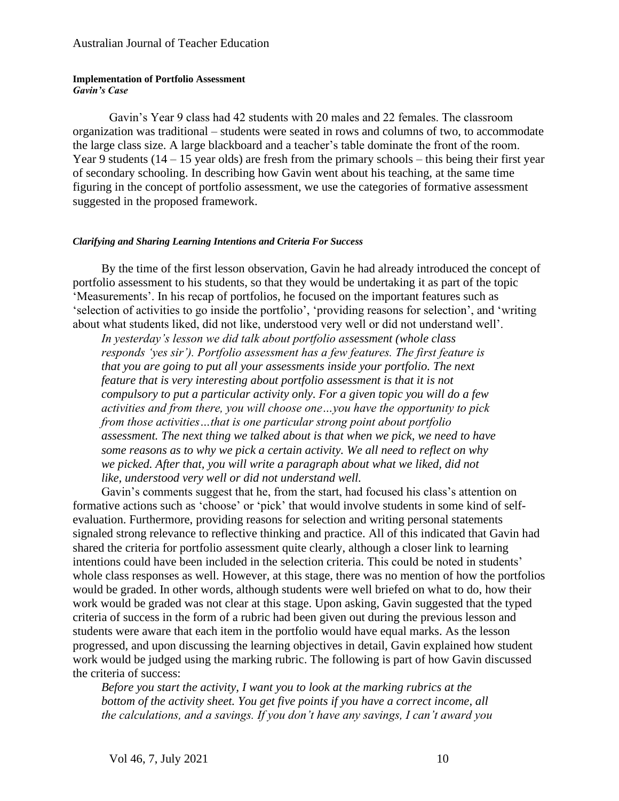#### **Implementation of Portfolio Assessment** *Gavin's Case*

Gavin's Year 9 class had 42 students with 20 males and 22 females. The classroom organization was traditional – students were seated in rows and columns of two, to accommodate the large class size. A large blackboard and a teacher's table dominate the front of the room. Year 9 students  $(14 - 15$  year olds) are fresh from the primary schools – this being their first year of secondary schooling. In describing how Gavin went about his teaching, at the same time figuring in the concept of portfolio assessment, we use the categories of formative assessment suggested in the proposed framework.

#### *Clarifying and Sharing Learning Intentions and Criteria For Success*

By the time of the first lesson observation, Gavin he had already introduced the concept of portfolio assessment to his students, so that they would be undertaking it as part of the topic 'Measurements'. In his recap of portfolios, he focused on the important features such as 'selection of activities to go inside the portfolio', 'providing reasons for selection', and 'writing about what students liked, did not like, understood very well or did not understand well'.

*In yesterday's lesson we did talk about portfolio assessment (whole class responds 'yes sir'). Portfolio assessment has a few features. The first feature is that you are going to put all your assessments inside your portfolio. The next feature that is very interesting about portfolio assessment is that it is not compulsory to put a particular activity only. For a given topic you will do a few activities and from there, you will choose one…you have the opportunity to pick from those activities…that is one particular strong point about portfolio assessment. The next thing we talked about is that when we pick, we need to have some reasons as to why we pick a certain activity. We all need to reflect on why we picked. After that, you will write a paragraph about what we liked, did not like, understood very well or did not understand well.*

Gavin's comments suggest that he, from the start, had focused his class's attention on formative actions such as 'choose' or 'pick' that would involve students in some kind of selfevaluation. Furthermore, providing reasons for selection and writing personal statements signaled strong relevance to reflective thinking and practice. All of this indicated that Gavin had shared the criteria for portfolio assessment quite clearly, although a closer link to learning intentions could have been included in the selection criteria. This could be noted in students' whole class responses as well. However, at this stage, there was no mention of how the portfolios would be graded. In other words, although students were well briefed on what to do, how their work would be graded was not clear at this stage. Upon asking, Gavin suggested that the typed criteria of success in the form of a rubric had been given out during the previous lesson and students were aware that each item in the portfolio would have equal marks. As the lesson progressed, and upon discussing the learning objectives in detail, Gavin explained how student work would be judged using the marking rubric. The following is part of how Gavin discussed the criteria of success:

*Before you start the activity, I want you to look at the marking rubrics at the bottom of the activity sheet. You get five points if you have a correct income, all the calculations, and a savings. If you don't have any savings, I can't award you*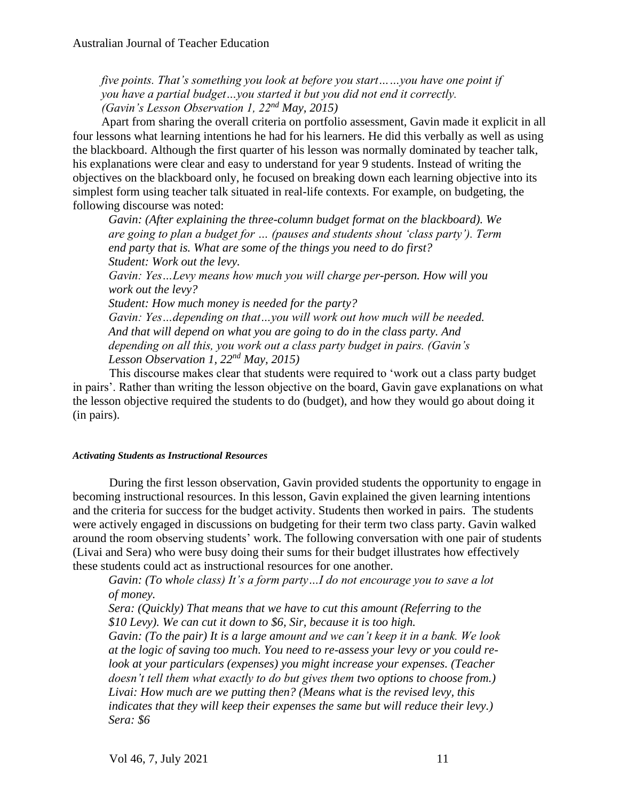*five points. That's something you look at before you start……you have one point if you have a partial budget…you started it but you did not end it correctly. (Gavin's Lesson Observation 1, 22nd May, 2015)*

Apart from sharing the overall criteria on portfolio assessment, Gavin made it explicit in all four lessons what learning intentions he had for his learners. He did this verbally as well as using the blackboard. Although the first quarter of his lesson was normally dominated by teacher talk, his explanations were clear and easy to understand for year 9 students. Instead of writing the objectives on the blackboard only, he focused on breaking down each learning objective into its simplest form using teacher talk situated in real-life contexts. For example, on budgeting, the following discourse was noted:

*Gavin: (After explaining the three-column budget format on the blackboard). We are going to plan a budget for … (pauses and students shout 'class party'). Term end party that is. What are some of the things you need to do first? Student: Work out the levy.*

*Gavin: Yes…Levy means how much you will charge per-person. How will you work out the levy?*

*Student: How much money is needed for the party? Gavin: Yes…depending on that…you will work out how much will be needed. And that will depend on what you are going to do in the class party. And depending on all this, you work out a class party budget in pairs. (Gavin's Lesson Observation 1, 22nd May, 2015)*

This discourse makes clear that students were required to 'work out a class party budget in pairs'. Rather than writing the lesson objective on the board, Gavin gave explanations on what the lesson objective required the students to do (budget), and how they would go about doing it (in pairs).

## *Activating Students as Instructional Resources*

During the first lesson observation, Gavin provided students the opportunity to engage in becoming instructional resources. In this lesson, Gavin explained the given learning intentions and the criteria for success for the budget activity. Students then worked in pairs. The students were actively engaged in discussions on budgeting for their term two class party. Gavin walked around the room observing students' work. The following conversation with one pair of students (Livai and Sera) who were busy doing their sums for their budget illustrates how effectively these students could act as instructional resources for one another.

*Gavin: (To whole class) It's a form party…I do not encourage you to save a lot of money.*

*Sera: (Quickly) That means that we have to cut this amount (Referring to the \$10 Levy). We can cut it down to \$6, Sir, because it is too high.*

*Gavin: (To the pair) It is a large amount and we can't keep it in a bank. We look at the logic of saving too much. You need to re-assess your levy or you could relook at your particulars (expenses) you might increase your expenses. (Teacher doesn't tell them what exactly to do but gives them two options to choose from.) Livai: How much are we putting then? (Means what is the revised levy, this indicates that they will keep their expenses the same but will reduce their levy.) Sera: \$6*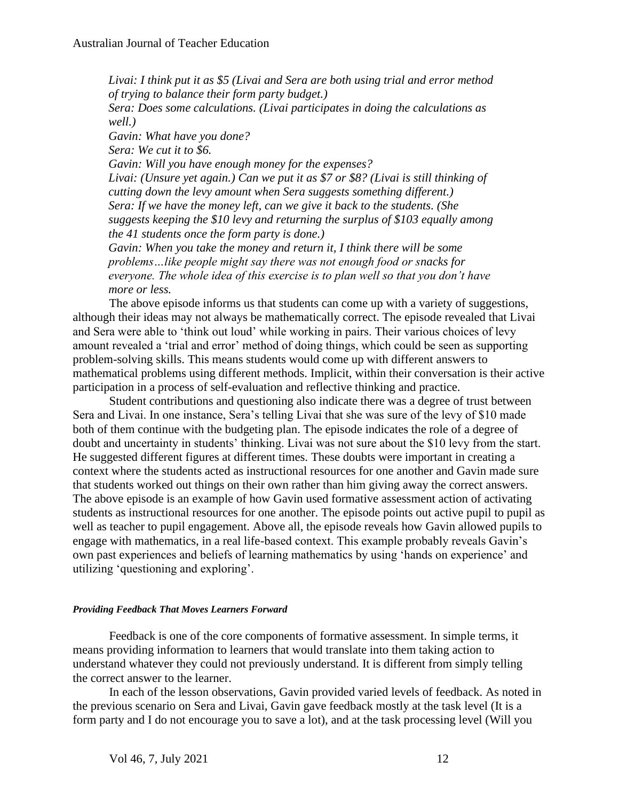*Livai: I think put it as \$5 (Livai and Sera are both using trial and error method of trying to balance their form party budget.) Sera: Does some calculations. (Livai participates in doing the calculations as well.) Gavin: What have you done? Sera: We cut it to \$6. Gavin: Will you have enough money for the expenses? Livai: (Unsure yet again.) Can we put it as \$7 or \$8? (Livai is still thinking of cutting down the levy amount when Sera suggests something different.) Sera: If we have the money left, can we give it back to the students. (She suggests keeping the \$10 levy and returning the surplus of \$103 equally among the 41 students once the form party is done.) Gavin: When you take the money and return it, I think there will be some problems…like people might say there was not enough food or snacks for everyone. The whole idea of this exercise is to plan well so that you don't have more or less.*

The above episode informs us that students can come up with a variety of suggestions, although their ideas may not always be mathematically correct. The episode revealed that Livai and Sera were able to 'think out loud' while working in pairs. Their various choices of levy amount revealed a 'trial and error' method of doing things, which could be seen as supporting problem-solving skills. This means students would come up with different answers to mathematical problems using different methods. Implicit, within their conversation is their active participation in a process of self-evaluation and reflective thinking and practice.

Student contributions and questioning also indicate there was a degree of trust between Sera and Livai. In one instance, Sera's telling Livai that she was sure of the levy of \$10 made both of them continue with the budgeting plan. The episode indicates the role of a degree of doubt and uncertainty in students' thinking. Livai was not sure about the \$10 levy from the start. He suggested different figures at different times. These doubts were important in creating a context where the students acted as instructional resources for one another and Gavin made sure that students worked out things on their own rather than him giving away the correct answers. The above episode is an example of how Gavin used formative assessment action of activating students as instructional resources for one another. The episode points out active pupil to pupil as well as teacher to pupil engagement. Above all, the episode reveals how Gavin allowed pupils to engage with mathematics, in a real life-based context. This example probably reveals Gavin's own past experiences and beliefs of learning mathematics by using 'hands on experience' and utilizing 'questioning and exploring'.

## *Providing Feedback That Moves Learners Forward*

Feedback is one of the core components of formative assessment. In simple terms, it means providing information to learners that would translate into them taking action to understand whatever they could not previously understand. It is different from simply telling the correct answer to the learner.

In each of the lesson observations, Gavin provided varied levels of feedback. As noted in the previous scenario on Sera and Livai, Gavin gave feedback mostly at the task level (It is a form party and I do not encourage you to save a lot), and at the task processing level (Will you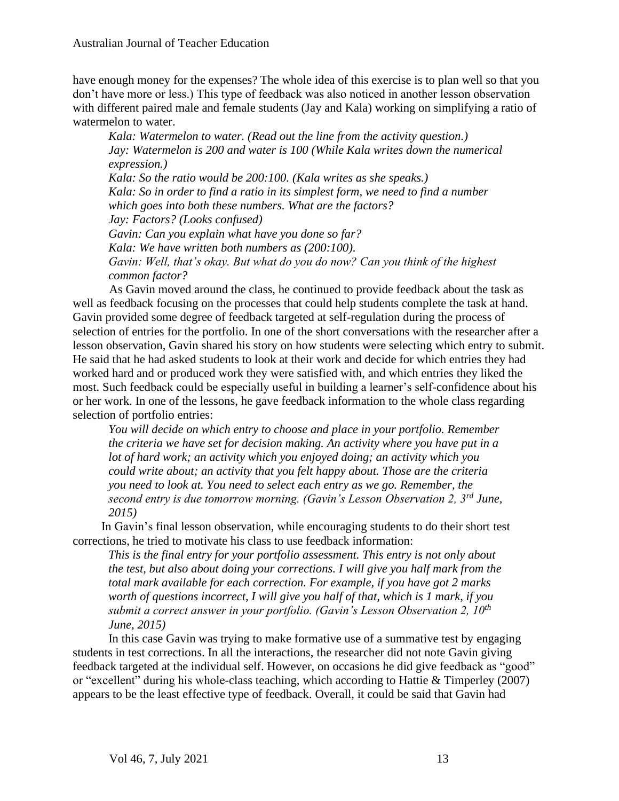have enough money for the expenses? The whole idea of this exercise is to plan well so that you don't have more or less.) This type of feedback was also noticed in another lesson observation with different paired male and female students (Jay and Kala) working on simplifying a ratio of watermelon to water.

*Kala: Watermelon to water. (Read out the line from the activity question.) Jay: Watermelon is 200 and water is 100 (While Kala writes down the numerical expression.) Kala: So the ratio would be 200:100. (Kala writes as she speaks.) Kala: So in order to find a ratio in its simplest form, we need to find a number which goes into both these numbers. What are the factors? Jay: Factors? (Looks confused) Gavin: Can you explain what have you done so far? Kala: We have written both numbers as (200:100). Gavin: Well, that's okay. But what do you do now? Can you think of the highest common factor?*

As Gavin moved around the class, he continued to provide feedback about the task as well as feedback focusing on the processes that could help students complete the task at hand. Gavin provided some degree of feedback targeted at self-regulation during the process of selection of entries for the portfolio. In one of the short conversations with the researcher after a lesson observation, Gavin shared his story on how students were selecting which entry to submit. He said that he had asked students to look at their work and decide for which entries they had worked hard and or produced work they were satisfied with, and which entries they liked the most. Such feedback could be especially useful in building a learner's self-confidence about his or her work. In one of the lessons, he gave feedback information to the whole class regarding selection of portfolio entries:

*You will decide on which entry to choose and place in your portfolio. Remember the criteria we have set for decision making. An activity where you have put in a lot of hard work; an activity which you enjoyed doing; an activity which you could write about; an activity that you felt happy about. Those are the criteria you need to look at. You need to select each entry as we go. Remember, the second entry is due tomorrow morning. (Gavin's Lesson Observation 2, 3rd June, 2015)*

In Gavin's final lesson observation, while encouraging students to do their short test corrections, he tried to motivate his class to use feedback information:

*This is the final entry for your portfolio assessment. This entry is not only about the test, but also about doing your corrections. I will give you half mark from the total mark available for each correction. For example, if you have got 2 marks worth of questions incorrect, I will give you half of that, which is 1 mark, if you submit a correct answer in your portfolio. (Gavin's Lesson Observation 2, 10th June, 2015)*

In this case Gavin was trying to make formative use of a summative test by engaging students in test corrections. In all the interactions, the researcher did not note Gavin giving feedback targeted at the individual self. However, on occasions he did give feedback as "good" or "excellent" during his whole-class teaching, which according to Hattie & Timperley (2007) appears to be the least effective type of feedback. Overall, it could be said that Gavin had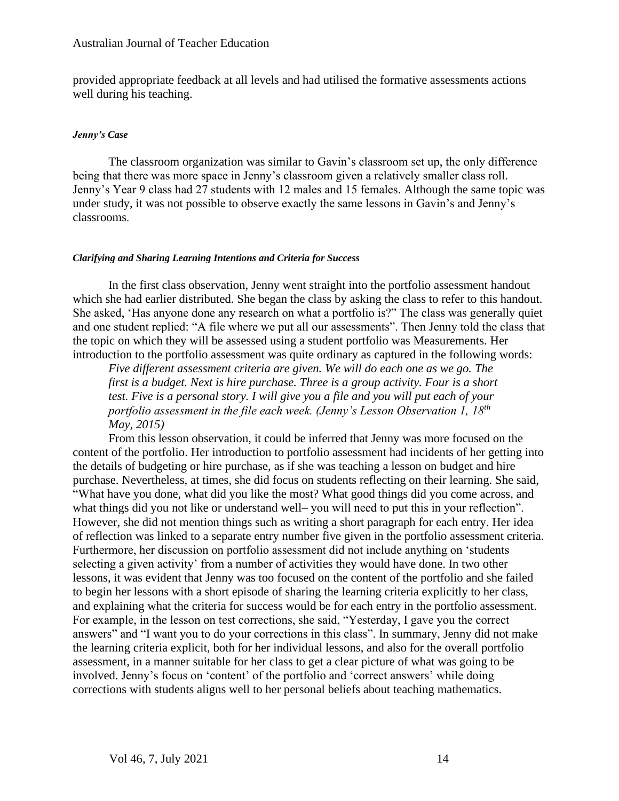provided appropriate feedback at all levels and had utilised the formative assessments actions well during his teaching.

## *Jenny's Case*

The classroom organization was similar to Gavin's classroom set up, the only difference being that there was more space in Jenny's classroom given a relatively smaller class roll. Jenny's Year 9 class had 27 students with 12 males and 15 females. Although the same topic was under study, it was not possible to observe exactly the same lessons in Gavin's and Jenny's classrooms.

#### *Clarifying and Sharing Learning Intentions and Criteria for Success*

In the first class observation, Jenny went straight into the portfolio assessment handout which she had earlier distributed. She began the class by asking the class to refer to this handout. She asked, 'Has anyone done any research on what a portfolio is?" The class was generally quiet and one student replied: "A file where we put all our assessments". Then Jenny told the class that the topic on which they will be assessed using a student portfolio was Measurements. Her introduction to the portfolio assessment was quite ordinary as captured in the following words:

*Five different assessment criteria are given. We will do each one as we go. The first is a budget. Next is hire purchase. Three is a group activity. Four is a short test. Five is a personal story. I will give you a file and you will put each of your portfolio assessment in the file each week. (Jenny's Lesson Observation 1, 18th May, 2015)*

From this lesson observation, it could be inferred that Jenny was more focused on the content of the portfolio. Her introduction to portfolio assessment had incidents of her getting into the details of budgeting or hire purchase, as if she was teaching a lesson on budget and hire purchase. Nevertheless, at times, she did focus on students reflecting on their learning. She said, "What have you done, what did you like the most? What good things did you come across, and what things did you not like or understand well– you will need to put this in your reflection". However, she did not mention things such as writing a short paragraph for each entry. Her idea of reflection was linked to a separate entry number five given in the portfolio assessment criteria. Furthermore, her discussion on portfolio assessment did not include anything on 'students selecting a given activity' from a number of activities they would have done. In two other lessons, it was evident that Jenny was too focused on the content of the portfolio and she failed to begin her lessons with a short episode of sharing the learning criteria explicitly to her class, and explaining what the criteria for success would be for each entry in the portfolio assessment. For example, in the lesson on test corrections, she said, "Yesterday, I gave you the correct answers" and "I want you to do your corrections in this class". In summary, Jenny did not make the learning criteria explicit, both for her individual lessons, and also for the overall portfolio assessment, in a manner suitable for her class to get a clear picture of what was going to be involved. Jenny's focus on 'content' of the portfolio and 'correct answers' while doing corrections with students aligns well to her personal beliefs about teaching mathematics.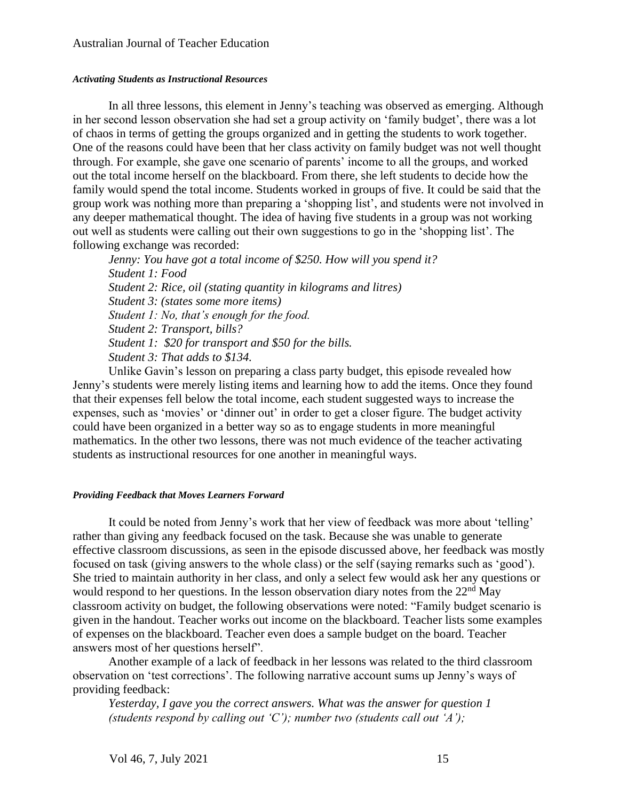#### *Activating Students as Instructional Resources*

In all three lessons, this element in Jenny's teaching was observed as emerging. Although in her second lesson observation she had set a group activity on 'family budget', there was a lot of chaos in terms of getting the groups organized and in getting the students to work together. One of the reasons could have been that her class activity on family budget was not well thought through. For example, she gave one scenario of parents' income to all the groups, and worked out the total income herself on the blackboard. From there, she left students to decide how the family would spend the total income. Students worked in groups of five. It could be said that the group work was nothing more than preparing a 'shopping list', and students were not involved in any deeper mathematical thought. The idea of having five students in a group was not working out well as students were calling out their own suggestions to go in the 'shopping list'. The following exchange was recorded:

*Jenny: You have got a total income of \$250. How will you spend it? Student 1: Food Student 2: Rice, oil (stating quantity in kilograms and litres) Student 3: (states some more items) Student 1: No, that's enough for the food. Student 2: Transport, bills? Student 1: \$20 for transport and \$50 for the bills. Student 3: That adds to \$134.*

Unlike Gavin's lesson on preparing a class party budget, this episode revealed how Jenny's students were merely listing items and learning how to add the items. Once they found that their expenses fell below the total income, each student suggested ways to increase the expenses, such as 'movies' or 'dinner out' in order to get a closer figure. The budget activity could have been organized in a better way so as to engage students in more meaningful mathematics. In the other two lessons, there was not much evidence of the teacher activating students as instructional resources for one another in meaningful ways.

#### *Providing Feedback that Moves Learners Forward*

It could be noted from Jenny's work that her view of feedback was more about 'telling' rather than giving any feedback focused on the task. Because she was unable to generate effective classroom discussions, as seen in the episode discussed above, her feedback was mostly focused on task (giving answers to the whole class) or the self (saying remarks such as 'good'). She tried to maintain authority in her class, and only a select few would ask her any questions or would respond to her questions. In the lesson observation diary notes from the 22<sup>nd</sup> May classroom activity on budget, the following observations were noted: "Family budget scenario is given in the handout. Teacher works out income on the blackboard. Teacher lists some examples of expenses on the blackboard. Teacher even does a sample budget on the board. Teacher answers most of her questions herself".

Another example of a lack of feedback in her lessons was related to the third classroom observation on 'test corrections'. The following narrative account sums up Jenny's ways of providing feedback:

*Yesterday, I gave you the correct answers. What was the answer for question 1 (students respond by calling out 'C'); number two (students call out 'A');*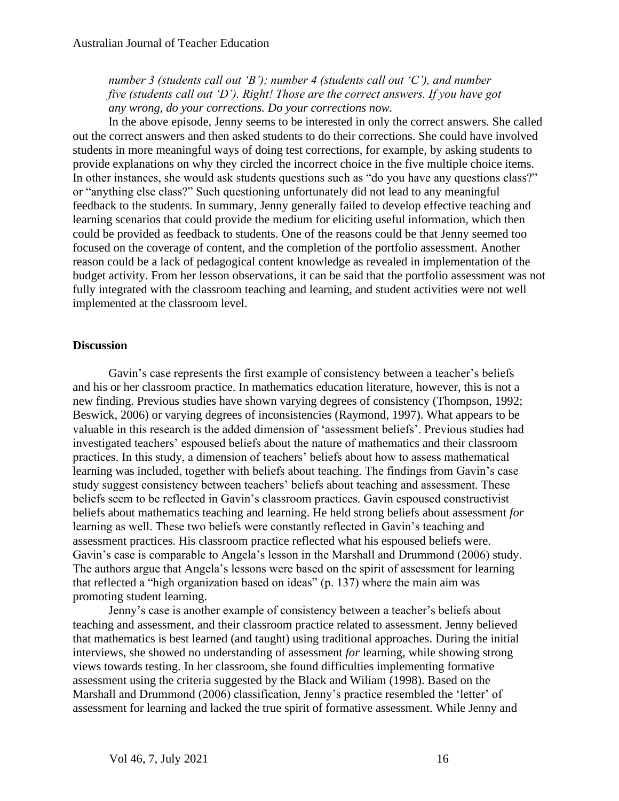*number 3 (students call out 'B'); number 4 (students call out 'C'), and number five (students call out 'D'). Right! Those are the correct answers. If you have got any wrong, do your corrections. Do your corrections now.*

In the above episode, Jenny seems to be interested in only the correct answers. She called out the correct answers and then asked students to do their corrections. She could have involved students in more meaningful ways of doing test corrections, for example, by asking students to provide explanations on why they circled the incorrect choice in the five multiple choice items. In other instances, she would ask students questions such as "do you have any questions class?" or "anything else class?" Such questioning unfortunately did not lead to any meaningful feedback to the students. In summary, Jenny generally failed to develop effective teaching and learning scenarios that could provide the medium for eliciting useful information, which then could be provided as feedback to students. One of the reasons could be that Jenny seemed too focused on the coverage of content, and the completion of the portfolio assessment. Another reason could be a lack of pedagogical content knowledge as revealed in implementation of the budget activity. From her lesson observations, it can be said that the portfolio assessment was not fully integrated with the classroom teaching and learning, and student activities were not well implemented at the classroom level.

## **Discussion**

Gavin's case represents the first example of consistency between a teacher's beliefs and his or her classroom practice. In mathematics education literature, however, this is not a new finding. Previous studies have shown varying degrees of consistency (Thompson, 1992; Beswick, 2006) or varying degrees of inconsistencies (Raymond, 1997). What appears to be valuable in this research is the added dimension of 'assessment beliefs'. Previous studies had investigated teachers' espoused beliefs about the nature of mathematics and their classroom practices. In this study, a dimension of teachers' beliefs about how to assess mathematical learning was included, together with beliefs about teaching. The findings from Gavin's case study suggest consistency between teachers' beliefs about teaching and assessment. These beliefs seem to be reflected in Gavin's classroom practices. Gavin espoused constructivist beliefs about mathematics teaching and learning. He held strong beliefs about assessment *for* learning as well. These two beliefs were constantly reflected in Gavin's teaching and assessment practices. His classroom practice reflected what his espoused beliefs were. Gavin's case is comparable to Angela's lesson in the Marshall and Drummond (2006) study. The authors argue that Angela's lessons were based on the spirit of assessment for learning that reflected a "high organization based on ideas" (p. 137) where the main aim was promoting student learning.

Jenny's case is another example of consistency between a teacher's beliefs about teaching and assessment, and their classroom practice related to assessment. Jenny believed that mathematics is best learned (and taught) using traditional approaches. During the initial interviews, she showed no understanding of assessment *for* learning, while showing strong views towards testing. In her classroom, she found difficulties implementing formative assessment using the criteria suggested by the Black and Wiliam (1998). Based on the Marshall and Drummond (2006) classification, Jenny's practice resembled the 'letter' of assessment for learning and lacked the true spirit of formative assessment. While Jenny and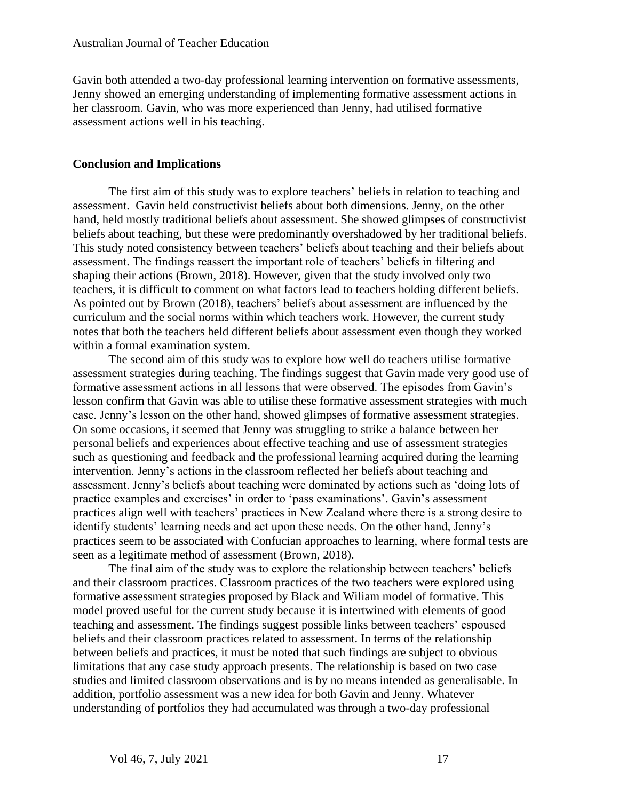Gavin both attended a two-day professional learning intervention on formative assessments, Jenny showed an emerging understanding of implementing formative assessment actions in her classroom. Gavin, who was more experienced than Jenny, had utilised formative assessment actions well in his teaching.

## **Conclusion and Implications**

The first aim of this study was to explore teachers' beliefs in relation to teaching and assessment. Gavin held constructivist beliefs about both dimensions. Jenny, on the other hand, held mostly traditional beliefs about assessment. She showed glimpses of constructivist beliefs about teaching, but these were predominantly overshadowed by her traditional beliefs. This study noted consistency between teachers' beliefs about teaching and their beliefs about assessment. The findings reassert the important role of teachers' beliefs in filtering and shaping their actions (Brown, 2018). However, given that the study involved only two teachers, it is difficult to comment on what factors lead to teachers holding different beliefs. As pointed out by Brown (2018), teachers' beliefs about assessment are influenced by the curriculum and the social norms within which teachers work. However, the current study notes that both the teachers held different beliefs about assessment even though they worked within a formal examination system.

The second aim of this study was to explore how well do teachers utilise formative assessment strategies during teaching. The findings suggest that Gavin made very good use of formative assessment actions in all lessons that were observed. The episodes from Gavin's lesson confirm that Gavin was able to utilise these formative assessment strategies with much ease. Jenny's lesson on the other hand, showed glimpses of formative assessment strategies. On some occasions, it seemed that Jenny was struggling to strike a balance between her personal beliefs and experiences about effective teaching and use of assessment strategies such as questioning and feedback and the professional learning acquired during the learning intervention. Jenny's actions in the classroom reflected her beliefs about teaching and assessment. Jenny's beliefs about teaching were dominated by actions such as 'doing lots of practice examples and exercises' in order to 'pass examinations'. Gavin's assessment practices align well with teachers' practices in New Zealand where there is a strong desire to identify students' learning needs and act upon these needs. On the other hand, Jenny's practices seem to be associated with Confucian approaches to learning, where formal tests are seen as a legitimate method of assessment (Brown, 2018).

The final aim of the study was to explore the relationship between teachers' beliefs and their classroom practices. Classroom practices of the two teachers were explored using formative assessment strategies proposed by Black and Wiliam model of formative. This model proved useful for the current study because it is intertwined with elements of good teaching and assessment. The findings suggest possible links between teachers' espoused beliefs and their classroom practices related to assessment. In terms of the relationship between beliefs and practices, it must be noted that such findings are subject to obvious limitations that any case study approach presents. The relationship is based on two case studies and limited classroom observations and is by no means intended as generalisable. In addition, portfolio assessment was a new idea for both Gavin and Jenny. Whatever understanding of portfolios they had accumulated was through a two-day professional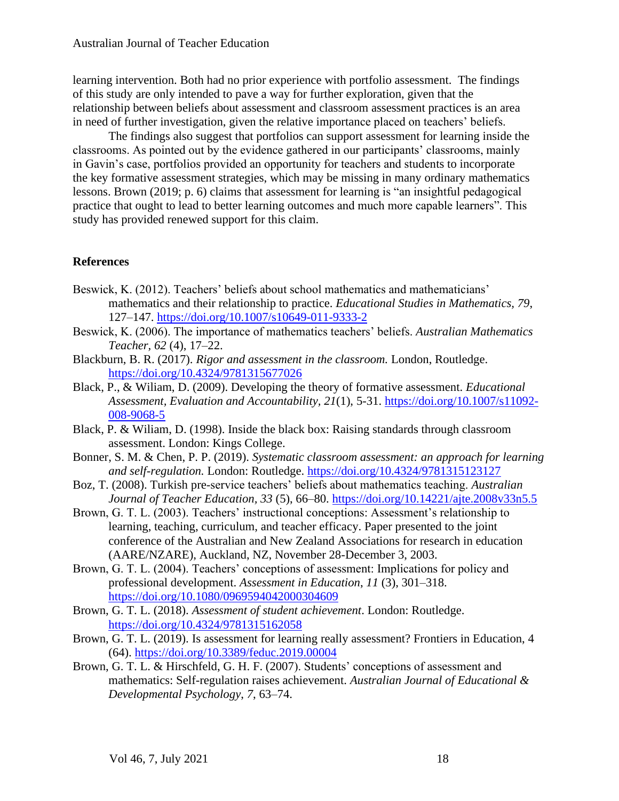learning intervention. Both had no prior experience with portfolio assessment. The findings of this study are only intended to pave a way for further exploration, given that the relationship between beliefs about assessment and classroom assessment practices is an area in need of further investigation, given the relative importance placed on teachers' beliefs.

The findings also suggest that portfolios can support assessment for learning inside the classrooms. As pointed out by the evidence gathered in our participants' classrooms, mainly in Gavin's case, portfolios provided an opportunity for teachers and students to incorporate the key formative assessment strategies, which may be missing in many ordinary mathematics lessons. Brown (2019; p. 6) claims that assessment for learning is "an insightful pedagogical practice that ought to lead to better learning outcomes and much more capable learners". This study has provided renewed support for this claim.

## **References**

- Beswick, K. (2012). Teachers' beliefs about school mathematics and mathematicians' mathematics and their relationship to practice. *Educational Studies in Mathematics, 79*, 127–147. <https://doi.org/10.1007/s10649-011-9333-2>
- Beswick, K. (2006). The importance of mathematics teachers' beliefs. *Australian Mathematics Teacher, 62* (4), 17–22.
- Blackburn, B. R. (2017). *Rigor and assessment in the classroom.* London, Routledge. <https://doi.org/10.4324/9781315677026>
- Black, P., & Wiliam, D. (2009). Developing the theory of formative assessment. *Educational Assessment, Evaluation and Accountability, 21*(1), 5-31. [https://doi.org/10.1007/s11092-](https://doi.org/10.1007/s11092-008-9068-5) [008-9068-5](https://doi.org/10.1007/s11092-008-9068-5)
- Black, P. & Wiliam, D. (1998). Inside the black box: Raising standards through classroom assessment. London: Kings College.
- Bonner, S. M. & Chen, P. P. (2019). *Systematic classroom assessment: an approach for learning and self-regulation.* London: Routledge.<https://doi.org/10.4324/9781315123127>
- Boz, T. (2008). Turkish pre-service teachers' beliefs about mathematics teaching. *Australian Journal of Teacher Education, 33* (5), 66–80. <https://doi.org/10.14221/ajte.2008v33n5.5>
- Brown, G. T. L. (2003). Teachers' instructional conceptions: Assessment's relationship to learning, teaching, curriculum, and teacher efficacy. Paper presented to the joint conference of the Australian and New Zealand Associations for research in education (AARE/NZARE), Auckland, NZ, November 28-December 3, 2003.
- Brown, G. T. L. (2004). Teachers' conceptions of assessment: Implications for policy and professional development. *Assessment in Education*, *11* (3), 301–318. <https://doi.org/10.1080/0969594042000304609>
- Brown, G. T. L. (2018). *Assessment of student achievement*. London: Routledge. <https://doi.org/10.4324/9781315162058>
- Brown, G. T. L. (2019). Is assessment for learning really assessment? Frontiers in Education, 4 (64).<https://doi.org/10.3389/feduc.2019.00004>
- Brown, G. T. L. & Hirschfeld, G. H. F. (2007). Students' conceptions of assessment and mathematics: Self-regulation raises achievement. *Australian Journal of Educational & Developmental Psychology*, *7*, 63–74.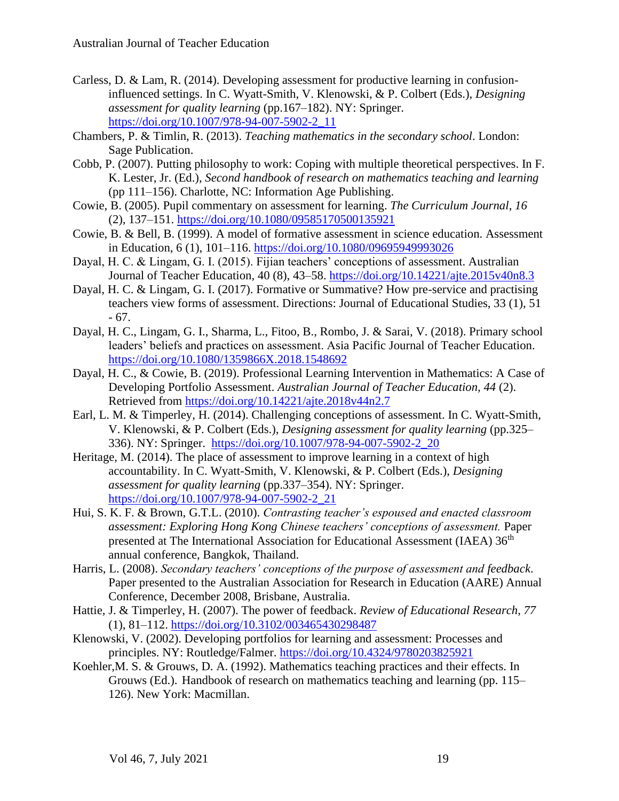- Carless, D. & Lam, R. (2014). Developing assessment for productive learning in confusioninfluenced settings. In C. Wyatt-Smith, V. Klenowski, & P. Colbert (Eds.), *Designing assessment for quality learning* (pp.167–182). NY: Springer. [https://doi.org/10.1007/978-94-007-5902-2\\_11](https://doi.org/10.1007/978-94-007-5902-2_11)
- Chambers, P. & Timlin, R. (2013). *Teaching mathematics in the secondary school*. London: Sage Publication.
- Cobb, P. (2007). Putting philosophy to work: Coping with multiple theoretical perspectives. In F. K. Lester, Jr. (Ed.), *Second handbook of research on mathematics teaching and learning* (pp 111–156). Charlotte, NC: Information Age Publishing.
- Cowie, B. (2005). Pupil commentary on assessment for learning. *The Curriculum Journal*, *16* (2), 137–151. <https://doi.org/10.1080/09585170500135921>
- Cowie, B. & Bell, B. (1999). A model of formative assessment in science education. Assessment in Education, 6 (1), 101–116. <https://doi.org/10.1080/09695949993026>
- Dayal, H. C. & Lingam, G. I. (2015). Fijian teachers' conceptions of assessment. Australian Journal of Teacher Education, 40 (8), 43–58. <https://doi.org/10.14221/ajte.2015v40n8.3>
- Dayal, H. C. & Lingam, G. I. (2017). Formative or Summative? How pre-service and practising teachers view forms of assessment. Directions: Journal of Educational Studies, 33 (1), 51 - 67.
- Dayal, H. C., Lingam, G. I., Sharma, L., Fitoo, B., Rombo, J. & Sarai, V. (2018). Primary school leaders' beliefs and practices on assessment. Asia Pacific Journal of Teacher Education. <https://doi.org/10.1080/1359866X.2018.1548692>
- Dayal, H. C., & Cowie, B. (2019). Professional Learning Intervention in Mathematics: A Case of Developing Portfolio Assessment. *Australian Journal of Teacher Education, 44* (2). Retrieved from<https://doi.org/10.14221/ajte.2018v44n2.7>
- Earl, L. M. & Timperley, H. (2014). Challenging conceptions of assessment. In C. Wyatt-Smith, V. Klenowski, & P. Colbert (Eds.), *Designing assessment for quality learning* (pp.325– 336). NY: Springer. [https://doi.org/10.1007/978-94-007-5902-2\\_20](https://doi.org/10.1007/978-94-007-5902-2_20)
- Heritage, M. (2014). The place of assessment to improve learning in a context of high accountability. In C. Wyatt-Smith, V. Klenowski, & P. Colbert (Eds.), *Designing assessment for quality learning* (pp.337–354). NY: Springer. [https://doi.org/10.1007/978-94-007-5902-2\\_21](https://doi.org/10.1007/978-94-007-5902-2_21)
- Hui, S. K. F. & Brown, G.T.L. (2010). *Contrasting teacher's espoused and enacted classroom assessment: Exploring Hong Kong Chinese teachers' conceptions of assessment.* Paper presented at The International Association for Educational Assessment (IAEA) 36<sup>th</sup> annual conference, Bangkok, Thailand.
- Harris, L. (2008). *Secondary teachers' conceptions of the purpose of assessment and feedback*. Paper presented to the Australian Association for Research in Education (AARE) Annual Conference, December 2008, Brisbane, Australia.
- Hattie, J. & Timperley, H. (2007). The power of feedback. *Review of Educational Research, 77* (1), 81–112.<https://doi.org/10.3102/003465430298487>
- Klenowski, V. (2002). Developing portfolios for learning and assessment: Processes and principles. NY: Routledge/Falmer. <https://doi.org/10.4324/9780203825921>
- Koehler,M. S. & Grouws, D. A. (1992). Mathematics teaching practices and their effects. In Grouws (Ed.). Handbook of research on mathematics teaching and learning (pp. 115– 126). New York: Macmillan.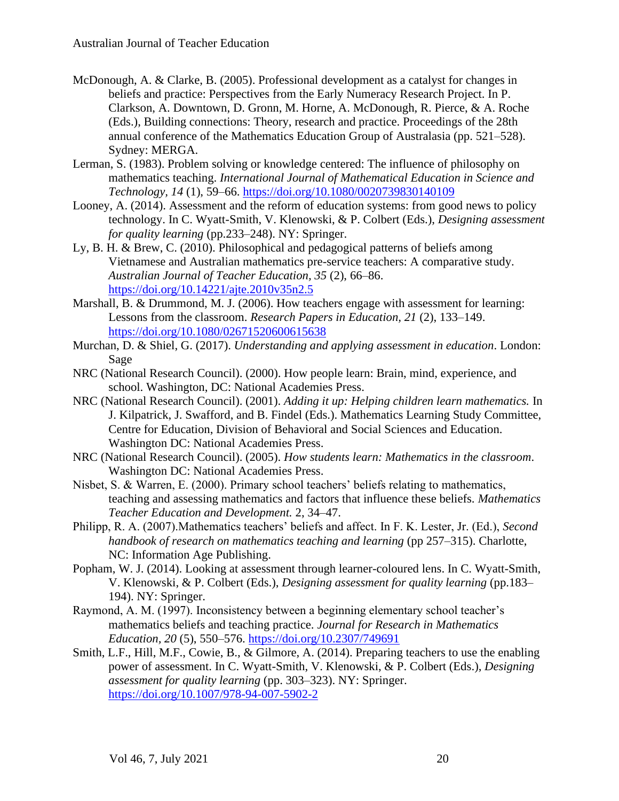- McDonough, A. & Clarke, B. (2005). Professional development as a catalyst for changes in beliefs and practice: Perspectives from the Early Numeracy Research Project. In P. Clarkson, A. Downtown, D. Gronn, M. Horne, A. McDonough, R. Pierce, & A. Roche (Eds.), Building connections: Theory, research and practice. Proceedings of the 28th annual conference of the Mathematics Education Group of Australasia (pp. 521–528). Sydney: MERGA.
- Lerman, S. (1983). Problem solving or knowledge centered: The influence of philosophy on mathematics teaching. *International Journal of Mathematical Education in Science and Technology, 14* (1), 59–66. <https://doi.org/10.1080/0020739830140109>
- Looney, A. (2014). Assessment and the reform of education systems: from good news to policy technology. In C. Wyatt-Smith, V. Klenowski, & P. Colbert (Eds.), *Designing assessment for quality learning* (pp.233–248). NY: Springer.
- Ly, B. H. & Brew, C. (2010). Philosophical and pedagogical patterns of beliefs among Vietnamese and Australian mathematics pre-service teachers: A comparative study. *Australian Journal of Teacher Education, 35* (2), 66–86. <https://doi.org/10.14221/ajte.2010v35n2.5>
- Marshall, B. & Drummond, M. J. (2006). How teachers engage with assessment for learning: Lessons from the classroom. *Research Papers in Education, 21* (2), 133–149. <https://doi.org/10.1080/02671520600615638>
- Murchan, D. & Shiel, G. (2017). *Understanding and applying assessment in education*. London: Sage
- NRC (National Research Council). (2000). How people learn: Brain, mind, experience, and school. Washington, DC: National Academies Press.
- NRC (National Research Council). (2001). *Adding it up: Helping children learn mathematics.* In J. Kilpatrick, J. Swafford, and B. Findel (Eds.). Mathematics Learning Study Committee, Centre for Education, Division of Behavioral and Social Sciences and Education. Washington DC: National Academies Press.
- NRC (National Research Council). (2005). *How students learn: Mathematics in the classroom*. Washington DC: National Academies Press.
- Nisbet, S. & Warren, E. (2000). Primary school teachers' beliefs relating to mathematics, teaching and assessing mathematics and factors that influence these beliefs. *Mathematics Teacher Education and Development.* 2, 34–47.
- Philipp, R. A. (2007).Mathematics teachers' beliefs and affect. In F. K. Lester, Jr. (Ed.), *Second handbook of research on mathematics teaching and learning* (pp 257–315). Charlotte, NC: Information Age Publishing.
- Popham, W. J. (2014). Looking at assessment through learner-coloured lens. In C. Wyatt-Smith, V. Klenowski, & P. Colbert (Eds.), *Designing assessment for quality learning* (pp.183– 194). NY: Springer.
- Raymond, A. M. (1997). Inconsistency between a beginning elementary school teacher's mathematics beliefs and teaching practice. *Journal for Research in Mathematics Education, 20* (5), 550–576. <https://doi.org/10.2307/749691>
- Smith, L.F., Hill, M.F., Cowie, B., & Gilmore, A. (2014). Preparing teachers to use the enabling power of assessment. In C. Wyatt-Smith, V. Klenowski, & P. Colbert (Eds.), *Designing assessment for quality learning* (pp. 303–323). NY: Springer. <https://doi.org/10.1007/978-94-007-5902-2>